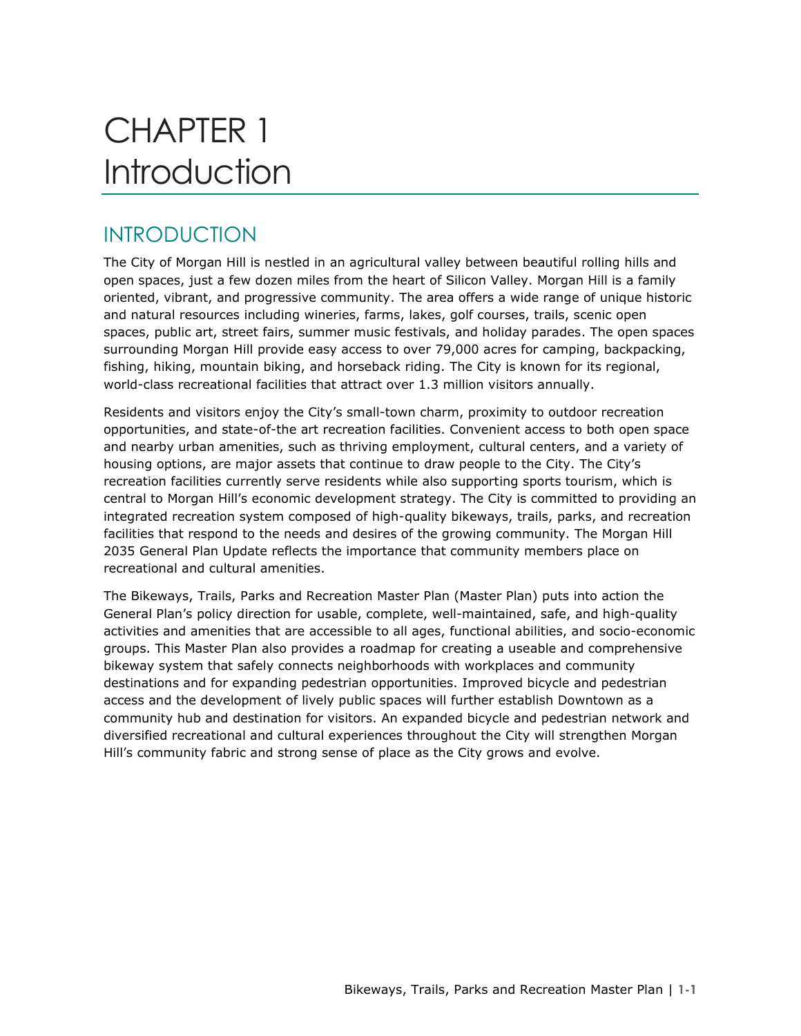# CHAPTER 1 **Introduction**

# INTRODUCTION

The City of Morgan Hill is nestled in an agricultural valley between beautiful rolling hills and open spaces, just a few dozen miles from the heart of Silicon Valley. Morgan Hill is a family oriented, vibrant, and progressive community. The area offers a wide range of unique historic and natural resources including wineries, farms, lakes, golf courses, trails, scenic open spaces, public art, street fairs, summer music festivals, and holiday parades. The open spaces surrounding Morgan Hill provide easy access to over 79,000 acres for camping, backpacking, fishing, hiking, mountain biking, and horseback riding. The City is known for its regional, world-class recreational facilities that attract over 1.3 million visitors annually.

Residents and visitors enjoy the City's small-town charm, proximity to outdoor recreation opportunities, and state-of-the art recreation facilities. Convenient access to both open space and nearby urban amenities, such as thriving employment, cultural centers, and a variety of housing options, are major assets that continue to draw people to the City. The City's recreation facilities currently serve residents while also supporting sports tourism, which is central to Morgan Hill's economic development strategy. The City is committed to providing an integrated recreation system composed of high-quality bikeways, trails, parks, and recreation facilities that respond to the needs and desires of the growing community. The Morgan Hill 2035 General Plan Update reflects the importance that community members place on recreational and cultural amenities.

The Bikeways, Trails, Parks and Recreation Master Plan (Master Plan) puts into action the General Plan's policy direction for usable, complete, well-maintained, safe, and high-quality activities and amenities that are accessible to all ages, functional abilities, and socio-economic groups. This Master Plan also provides a roadmap for creating a useable and comprehensive bikeway system that safely connects neighborhoods with workplaces and community destinations and for expanding pedestrian opportunities. Improved bicycle and pedestrian access and the development of lively public spaces will further establish Downtown as a community hub and destination for visitors. An expanded bicycle and pedestrian network and diversified recreational and cultural experiences throughout the City will strengthen Morgan Hill's community fabric and strong sense of place as the City grows and evolve.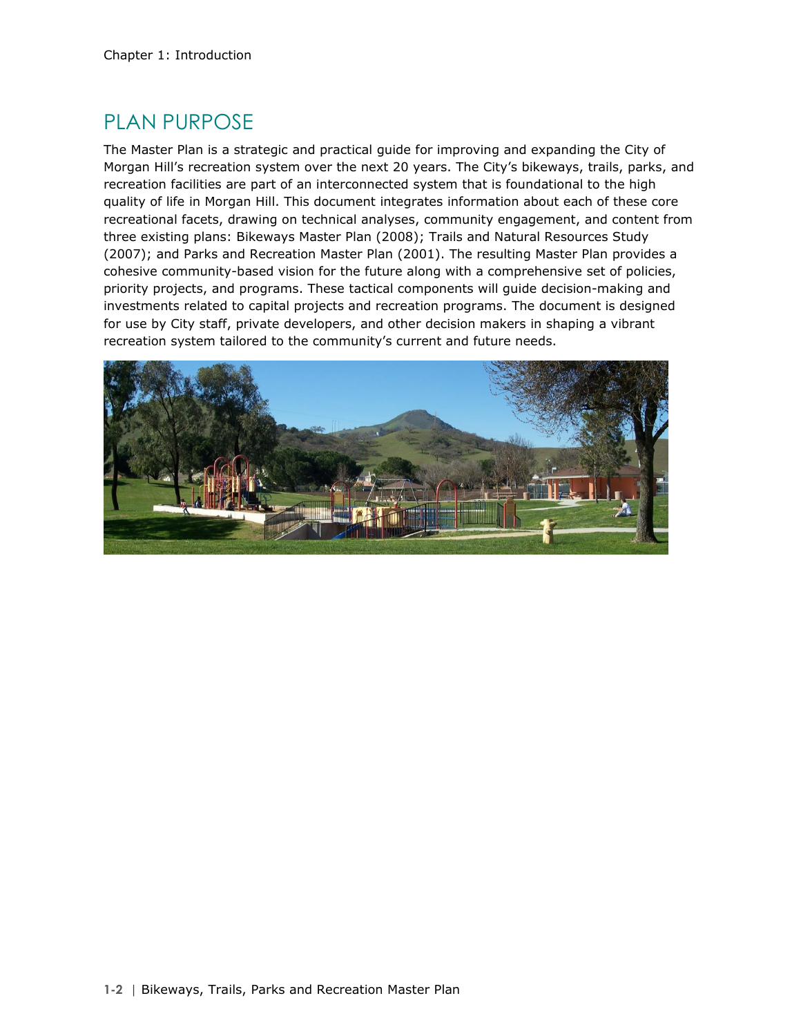# PLAN PURPOSE

The Master Plan is a strategic and practical guide for improving and expanding the City of Morgan Hill's recreation system over the next 20 years. The City's bikeways, trails, parks, and recreation facilities are part of an interconnected system that is foundational to the high quality of life in Morgan Hill. This document integrates information about each of these core recreational facets, drawing on technical analyses, community engagement, and content from three existing plans: Bikeways Master Plan (2008); Trails and Natural Resources Study (2007); and Parks and Recreation Master Plan (2001). The resulting Master Plan provides a cohesive community-based vision for the future along with a comprehensive set of policies, priority projects, and programs. These tactical components will guide decision-making and investments related to capital projects and recreation programs. The document is designed for use by City staff, private developers, and other decision makers in shaping a vibrant recreation system tailored to the community's current and future needs.

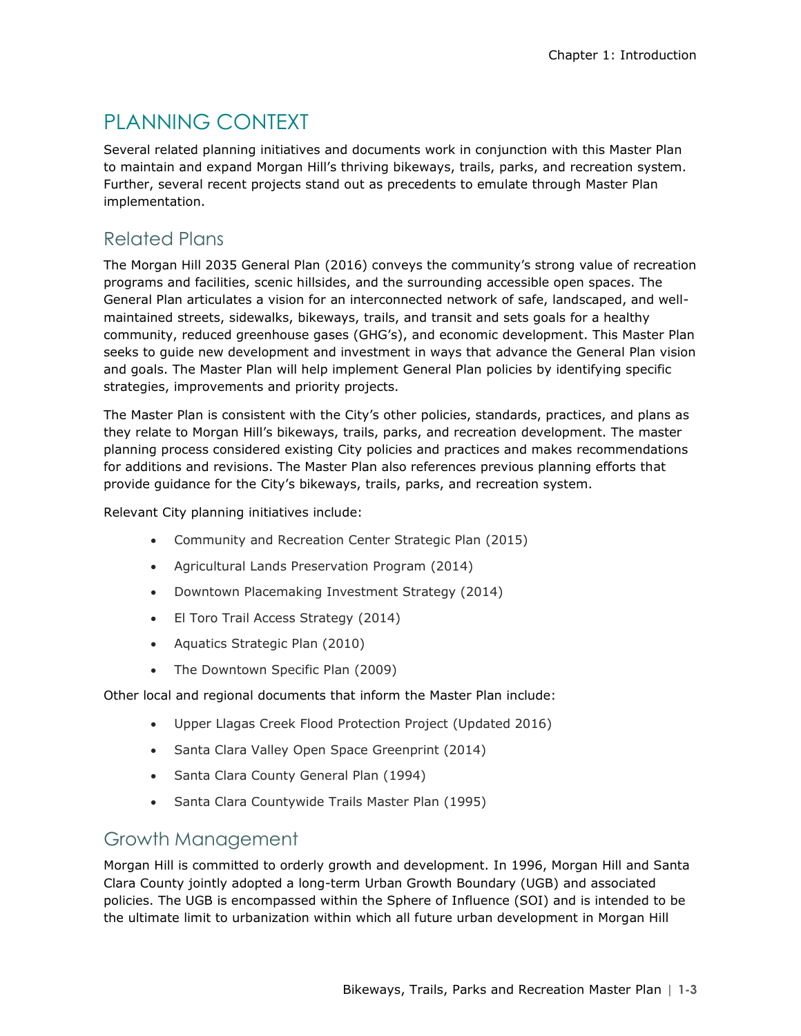# PLANNING CONTEXT

Several related planning initiatives and documents work in conjunction with this Master Plan to maintain and expand Morgan Hill's thriving bikeways, trails, parks, and recreation system. Further, several recent projects stand out as precedents to emulate through Master Plan implementation.

### Related Plans

The Morgan Hill 2035 General Plan (2016) conveys the community's strong value of recreation programs and facilities, scenic hillsides, and the surrounding accessible open spaces. The General Plan articulates a vision for an interconnected network of safe, landscaped, and wellmaintained streets, sidewalks, bikeways, trails, and transit and sets goals for a healthy community, reduced greenhouse gases (GHG's), and economic development. This Master Plan seeks to guide new development and investment in ways that advance the General Plan vision and goals. The Master Plan will help implement General Plan policies by identifying specific strategies, improvements and priority projects.

The Master Plan is consistent with the City's other policies, standards, practices, and plans as they relate to Morgan Hill's bikeways, trails, parks, and recreation development. The master planning process considered existing City policies and practices and makes recommendations for additions and revisions. The Master Plan also references previous planning efforts that provide guidance for the City's bikeways, trails, parks, and recreation system.

Relevant City planning initiatives include:

- Community and Recreation Center Strategic Plan (2015)
- Agricultural Lands Preservation Program (2014)
- Downtown Placemaking Investment Strategy (2014)
- El Toro Trail Access Strategy (2014)
- Aquatics Strategic Plan (2010)
- The Downtown Specific Plan (2009)

Other local and regional documents that inform the Master Plan include:

- Upper Llagas Creek Flood Protection Project (Updated 2016)
- Santa Clara Valley Open Space Greenprint (2014)
- Santa Clara County General Plan (1994)
- Santa Clara Countywide Trails Master Plan (1995)

### Growth Management

Morgan Hill is committed to orderly growth and development. In 1996, Morgan Hill and Santa Clara County jointly adopted a long-term Urban Growth Boundary (UGB) and associated policies. The UGB is encompassed within the Sphere of Influence (SOI) and is intended to be the ultimate limit to urbanization within which all future urban development in Morgan Hill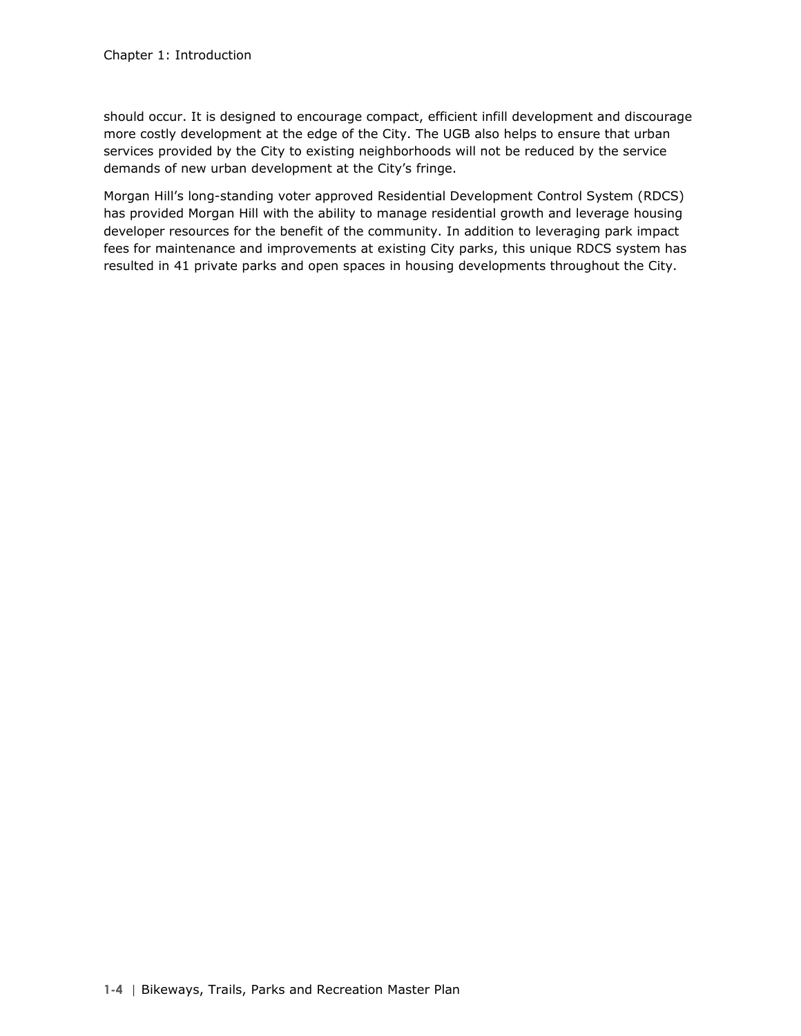should occur. It is designed to encourage compact, efficient infill development and discourage more costly development at the edge of the City. The UGB also helps to ensure that urban services provided by the City to existing neighborhoods will not be reduced by the service demands of new urban development at the City's fringe.

Morgan Hill's long-standing voter approved Residential Development Control System (RDCS) has provided Morgan Hill with the ability to manage residential growth and leverage housing developer resources for the benefit of the community. In addition to leveraging park impact fees for maintenance and improvements at existing City parks, this unique RDCS system has resulted in 41 private parks and open spaces in housing developments throughout the City.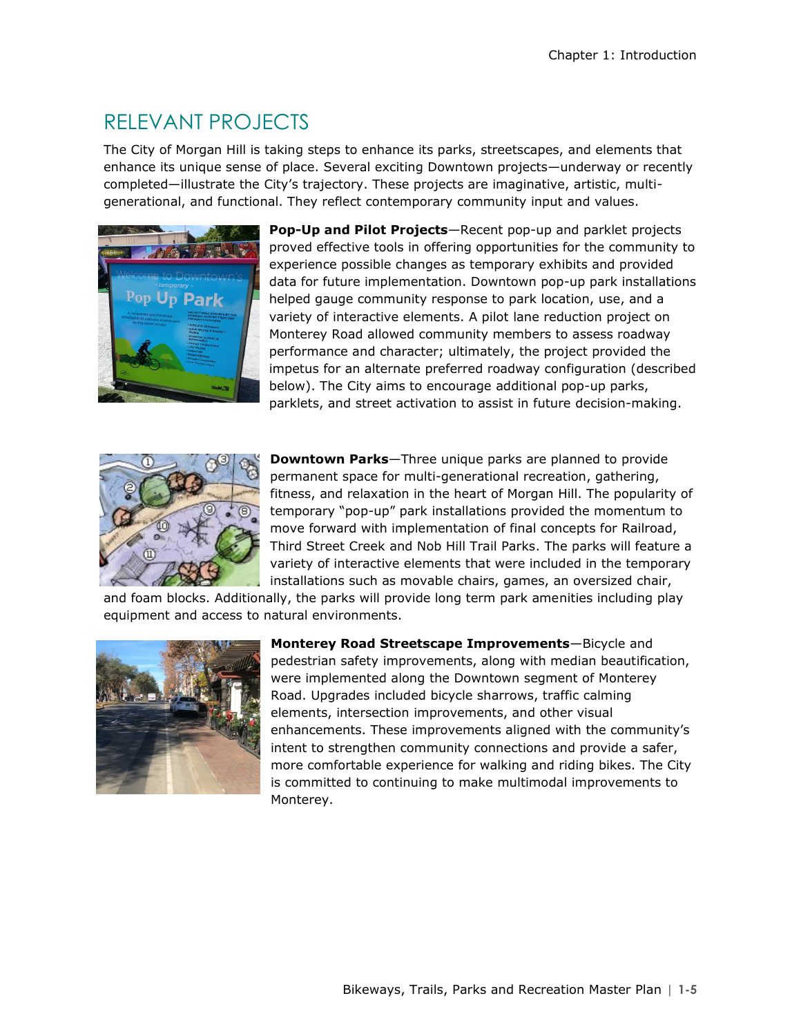# RELEVANT PROJECTS

The City of Morgan Hill is taking steps to enhance its parks, streetscapes, and elements that enhance its unique sense of place. Several exciting Downtown projects—underway or recently completed—illustrate the City's trajectory. These projects are imaginative, artistic, multigenerational, and functional. They reflect contemporary community input and values.



**Pop-Up and Pilot Projects**—Recent pop-up and parklet projects proved effective tools in offering opportunities for the community to experience possible changes as temporary exhibits and provided data for future implementation. Downtown pop-up park installations helped gauge community response to park location, use, and a variety of interactive elements. A pilot lane reduction project on Monterey Road allowed community members to assess roadway performance and character; ultimately, the project provided the impetus for an alternate preferred roadway configuration (described below). The City aims to encourage additional pop-up parks, parklets, and street activation to assist in future decision-making.



**Downtown Parks**—Three unique parks are planned to provide permanent space for multi-generational recreation, gathering, fitness, and relaxation in the heart of Morgan Hill. The popularity of temporary "pop-up" park installations provided the momentum to move forward with implementation of final concepts for Railroad, Third Street Creek and Nob Hill Trail Parks. The parks will feature a variety of interactive elements that were included in the temporary installations such as movable chairs, games, an oversized chair,

and foam blocks. Additionally, the parks will provide long term park amenities including play equipment and access to natural environments.



**Monterey Road Streetscape Improvements**—Bicycle and pedestrian safety improvements, along with median beautification, were implemented along the Downtown segment of Monterey Road. Upgrades included bicycle sharrows, traffic calming elements, intersection improvements, and other visual enhancements. These improvements aligned with the community's intent to strengthen community connections and provide a safer, more comfortable experience for walking and riding bikes. The City is committed to continuing to make multimodal improvements to Monterey.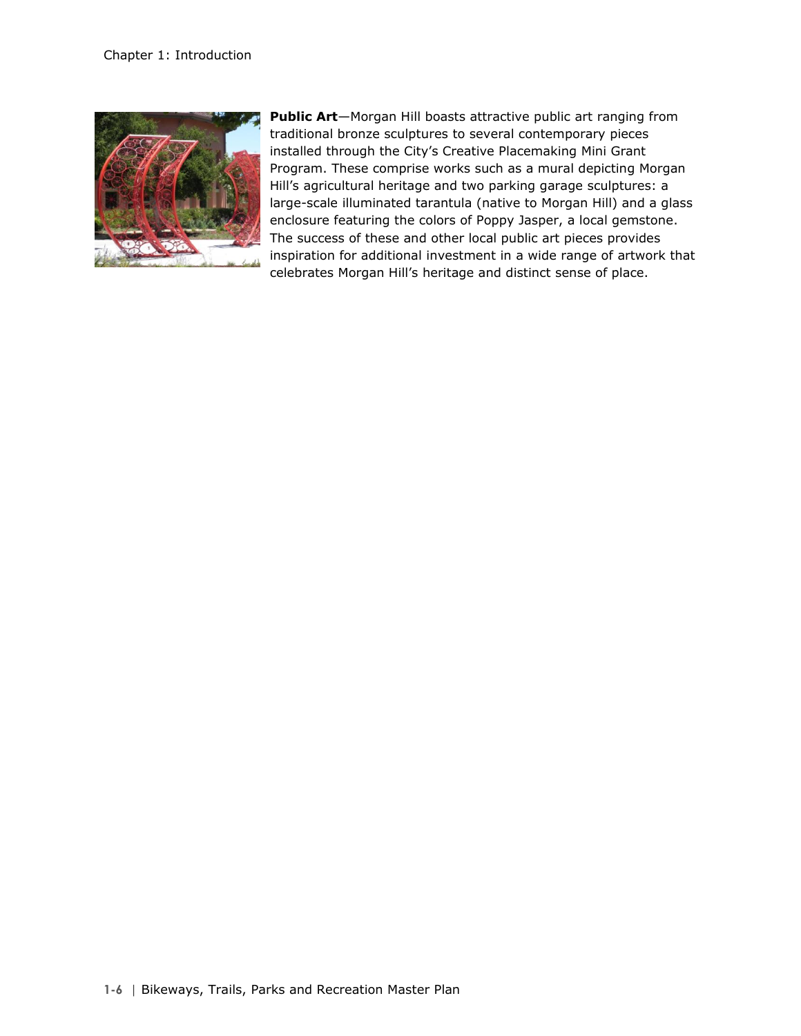

**Public Art**—Morgan Hill boasts attractive public art ranging from traditional bronze sculptures to several contemporary pieces installed through the City's Creative Placemaking Mini Grant Program. These comprise works such as a mural depicting Morgan Hill's agricultural heritage and two parking garage sculptures: a large-scale illuminated tarantula (native to Morgan Hill) and a glass enclosure featuring the colors of Poppy Jasper, a local gemstone. The success of these and other local public art pieces provides inspiration for additional investment in a wide range of artwork that celebrates Morgan Hill's heritage and distinct sense of place.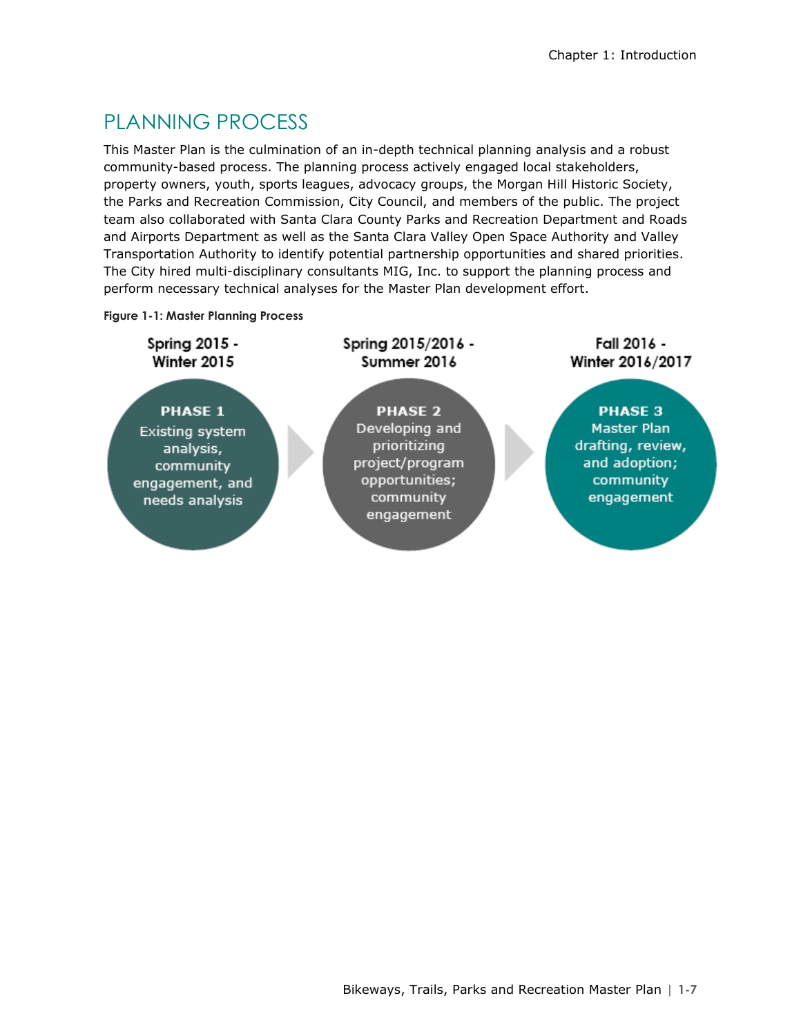# PLANNING PROCESS

This Master Plan is the culmination of an in-depth technical planning analysis and a robust community-based process. The planning process actively engaged local stakeholders, property owners, youth, sports leagues, advocacy groups, the Morgan Hill Historic Society, the Parks and Recreation Commission, City Council, and members of the public. The project team also collaborated with Santa Clara County Parks and Recreation Department and Roads and Airports Department as well as the Santa Clara Valley Open Space Authority and Valley Transportation Authority to identify potential partnership opportunities and shared priorities. The City hired multi-disciplinary consultants MIG, Inc. to support the planning process and perform necessary technical analyses for the Master Plan development effort.

#### **Figure 1-1: Master Planning Process**

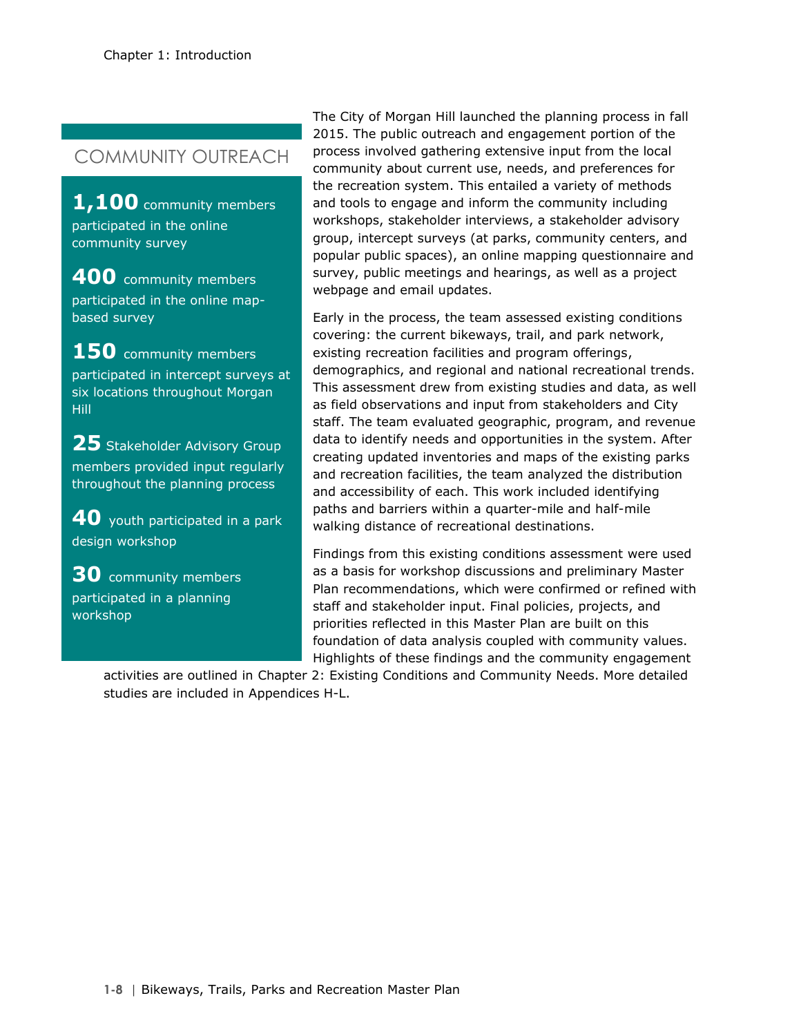## COMMUNITY OUTREACH

**1,100** community members participated in the online community survey

**400** community members participated in the online mapbased survey

150 community members participated in intercept surveys at six locations throughout Morgan Hill

25 Stakeholder Advisory Group members provided input regularly throughout the planning process

**40** youth participated in a park design workshop

**30** community members participated in a planning workshop

The City of Morgan Hill launched the planning process in fall 2015. The public outreach and engagement portion of the process involved gathering extensive input from the local community about current use, needs, and preferences for the recreation system. This entailed a variety of methods and tools to engage and inform the community including workshops, stakeholder interviews, a stakeholder advisory group, intercept surveys (at parks, community centers, and popular public spaces), an online mapping questionnaire and survey, public meetings and hearings, as well as a project webpage and email updates.

Early in the process, the team assessed existing conditions covering: the current bikeways, trail, and park network, existing recreation facilities and program offerings, demographics, and regional and national recreational trends. This assessment drew from existing studies and data, as well as field observations and input from stakeholders and City staff. The team evaluated geographic, program, and revenue data to identify needs and opportunities in the system. After creating updated inventories and maps of the existing parks and recreation facilities, the team analyzed the distribution and accessibility of each. This work included identifying paths and barriers within a quarter-mile and half-mile walking distance of recreational destinations.

Findings from this existing conditions assessment were used as a basis for workshop discussions and preliminary Master Plan recommendations, which were confirmed or refined with staff and stakeholder input. Final policies, projects, and priorities reflected in this Master Plan are built on this foundation of data analysis coupled with community values. Highlights of these findings and the community engagement

activities are outlined in Chapter 2: Existing Conditions and Community Needs. More detailed studies are included in Appendices H-L.